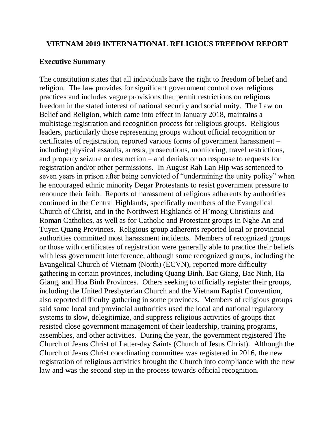#### **VIETNAM 2019 INTERNATIONAL RELIGIOUS FREEDOM REPORT**

#### **Executive Summary**

The constitution states that all individuals have the right to freedom of belief and religion. The law provides for significant government control over religious practices and includes vague provisions that permit restrictions on religious freedom in the stated interest of national security and social unity. The Law on Belief and Religion, which came into effect in January 2018, maintains a multistage registration and recognition process for religious groups. Religious leaders, particularly those representing groups without official recognition or certificates of registration, reported various forms of government harassment – including physical assaults, arrests, prosecutions, monitoring, travel restrictions, and property seizure or destruction – and denials or no response to requests for registration and/or other permissions. In August Rah Lan Hip was sentenced to seven years in prison after being convicted of "undermining the unity policy" when he encouraged ethnic minority Degar Protestants to resist government pressure to renounce their faith. Reports of harassment of religious adherents by authorities continued in the Central Highlands, specifically members of the Evangelical Church of Christ, and in the Northwest Highlands of H'mong Christians and Roman Catholics, as well as for Catholic and Protestant groups in Nghe An and Tuyen Quang Provinces. Religious group adherents reported local or provincial authorities committed most harassment incidents. Members of recognized groups or those with certificates of registration were generally able to practice their beliefs with less government interference, although some recognized groups, including the Evangelical Church of Vietnam (North) (ECVN), reported more difficulty gathering in certain provinces, including Quang Binh, Bac Giang, Bac Ninh, Ha Giang, and Hoa Binh Provinces. Others seeking to officially register their groups, including the United Presbyterian Church and the Vietnam Baptist Convention, also reported difficulty gathering in some provinces. Members of religious groups said some local and provincial authorities used the local and national regulatory systems to slow, delegitimize, and suppress religious activities of groups that resisted close government management of their leadership, training programs, assemblies, and other activities. During the year, the government registered The Church of Jesus Christ of Latter-day Saints (Church of Jesus Christ). Although the Church of Jesus Christ coordinating committee was registered in 2016, the new registration of religious activities brought the Church into compliance with the new law and was the second step in the process towards official recognition.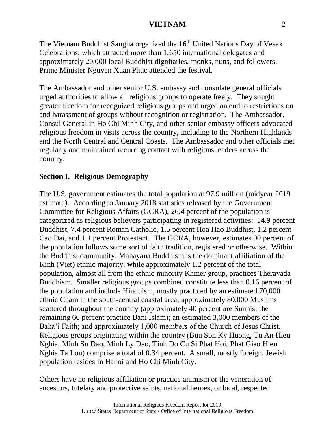The Vietnam Buddhist Sangha organized the 16<sup>th</sup> United Nations Day of Vesak Celebrations, which attracted more than 1,650 international delegates and approximately 20,000 local Buddhist dignitaries, monks, nuns, and followers. Prime Minister Nguyen Xuan Phuc attended the festival.

The Ambassador and other senior U.S. embassy and consulate general officials urged authorities to allow all religious groups to operate freely. They sought greater freedom for recognized religious groups and urged an end to restrictions on and harassment of groups without recognition or registration. The Ambassador, Consul General in Ho Chi Minh City, and other senior embassy officers advocated religious freedom in visits across the country, including to the Northern Highlands and the North Central and Central Coasts. The Ambassador and other officials met regularly and maintained recurring contact with religious leaders across the country.

### **Section I. Religious Demography**

The U.S. government estimates the total population at 97.9 million (midyear 2019 estimate). According to January 2018 statistics released by the Government Committee for Religious Affairs (GCRA), 26.4 percent of the population is categorized as religious believers participating in registered activities: 14.9 percent Buddhist, 7.4 percent Roman Catholic, 1.5 percent Hoa Hao Buddhist, 1.2 percent Cao Dai, and 1.1 percent Protestant. The GCRA, however, estimates 90 percent of the population follows some sort of faith tradition, registered or otherwise. Within the Buddhist community, Mahayana Buddhism is the dominant affiliation of the Kinh (Viet) ethnic majority, while approximately 1.2 percent of the total population, almost all from the ethnic minority Khmer group, practices Theravada Buddhism. Smaller religious groups combined constitute less than 0.16 percent of the population and include Hinduism, mostly practiced by an estimated 70,000 ethnic Cham in the south-central coastal area; approximately 80,000 Muslims scattered throughout the country (approximately 40 percent are Sunnis; the remaining 60 percent practice Bani Islam); an estimated 3,000 members of the Baha'i Faith; and approximately 1,000 members of the Church of Jesus Christ. Religious groups originating within the country (Buu Son Ky Huong, Tu An Hieu Nghia, Minh Su Dao, Minh Ly Dao, Tinh Do Cu Si Phat Hoi, Phat Giao Hieu Nghia Ta Lon) comprise a total of 0.34 percent. A small, mostly foreign, Jewish population resides in Hanoi and Ho Chi Minh City.

Others have no religious affiliation or practice animism or the veneration of ancestors, tutelary and protective saints, national heroes, or local, respected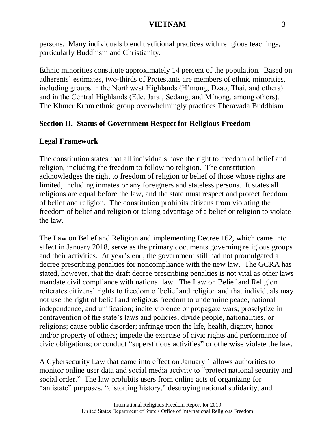persons. Many individuals blend traditional practices with religious teachings, particularly Buddhism and Christianity.

Ethnic minorities constitute approximately 14 percent of the population. Based on adherents' estimates, two-thirds of Protestants are members of ethnic minorities, including groups in the Northwest Highlands (H'mong, Dzao, Thai, and others) and in the Central Highlands (Ede, Jarai, Sedang, and M'nong, among others). The Khmer Krom ethnic group overwhelmingly practices Theravada Buddhism.

# **Section II. Status of Government Respect for Religious Freedom**

# **Legal Framework**

The constitution states that all individuals have the right to freedom of belief and religion, including the freedom to follow no religion. The constitution acknowledges the right to freedom of religion or belief of those whose rights are limited, including inmates or any foreigners and stateless persons. It states all religions are equal before the law, and the state must respect and protect freedom of belief and religion. The constitution prohibits citizens from violating the freedom of belief and religion or taking advantage of a belief or religion to violate the law.

The Law on Belief and Religion and implementing Decree 162, which came into effect in January 2018, serve as the primary documents governing religious groups and their activities. At year's end, the government still had not promulgated a decree prescribing penalties for noncompliance with the new law. The GCRA has stated, however, that the draft decree prescribing penalties is not vital as other laws mandate civil compliance with national law. The Law on Belief and Religion reiterates citizens' rights to freedom of belief and religion and that individuals may not use the right of belief and religious freedom to undermine peace, national independence, and unification; incite violence or propagate wars; proselytize in contravention of the state's laws and policies; divide people, nationalities, or religions; cause public disorder; infringe upon the life, health, dignity, honor and/or property of others; impede the exercise of civic rights and performance of civic obligations; or conduct "superstitious activities" or otherwise violate the law.

A Cybersecurity Law that came into effect on January 1 allows authorities to monitor online user data and social media activity to "protect national security and social order." The law prohibits users from online acts of organizing for "antistate" purposes, "distorting history," destroying national solidarity, and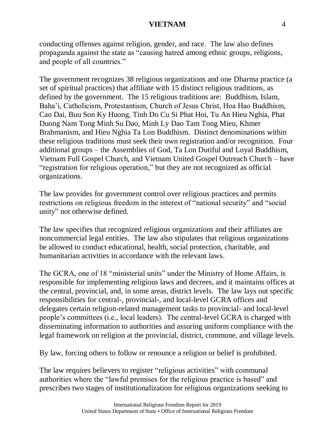conducting offenses against religion, gender, and race. The law also defines propaganda against the state as "causing hatred among ethnic groups, religions, and people of all countries."

The government recognizes 38 religious organizations and one Dharma practice (a set of spiritual practices) that affiliate with 15 distinct religious traditions, as defined by the government. The 15 religious traditions are: Buddhism, Islam, Baha'i, Catholicism, Protestantism, Church of Jesus Christ, Hoa Hao Buddhism, Cao Dai, Buu Son Ky Huong, Tinh Do Cu Si Phat Hoi, Tu An Hieu Nghia, Phat Duong Nam Tong Minh Su Dao, Minh Ly Dao Tam Tong Mieu, Khmer Brahmanism, and Hieu Nghia Ta Lon Buddhism. Distinct denominations within these religious traditions must seek their own registration and/or recognition. Four additional groups – the Assemblies of God, Ta Lon Dutiful and Loyal Buddhism, Vietnam Full Gospel Church, and Vietnam United Gospel Outreach Church – have "registration for religious operation," but they are not recognized as official organizations.

The law provides for government control over religious practices and permits restrictions on religious freedom in the interest of "national security" and "social unity" not otherwise defined.

The law specifies that recognized religious organizations and their affiliates are noncommercial legal entities. The law also stipulates that religious organizations be allowed to conduct educational, health, social protection, charitable, and humanitarian activities in accordance with the relevant laws.

The GCRA, one of 18 "ministerial units" under the Ministry of Home Affairs, is responsible for implementing religious laws and decrees, and it maintains offices at the central, provincial, and, in some areas, district levels. The law lays out specific responsibilities for central-, provincial-, and local-level GCRA offices and delegates certain religion-related management tasks to provincial- and local-level people's committees (i.e., local leaders). The central-level GCRA is charged with disseminating information to authorities and assuring uniform compliance with the legal framework on religion at the provincial, district, commune, and village levels.

By law, forcing others to follow or renounce a religion or belief is prohibited.

The law requires believers to register "religious activities" with communal authorities where the "lawful premises for the religious practice is based" and prescribes two stages of institutionalization for religious organizations seeking to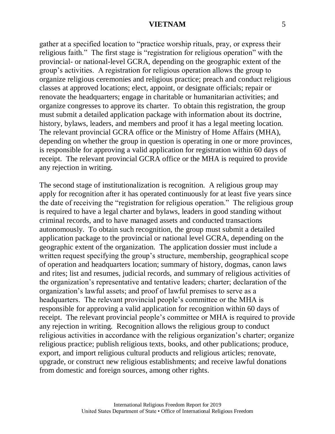gather at a specified location to "practice worship rituals, pray, or express their religious faith." The first stage is "registration for religious operation" with the provincial- or national-level GCRA, depending on the geographic extent of the group's activities. A registration for religious operation allows the group to organize religious ceremonies and religious practice; preach and conduct religious classes at approved locations; elect, appoint, or designate officials; repair or renovate the headquarters; engage in charitable or humanitarian activities; and organize congresses to approve its charter. To obtain this registration, the group must submit a detailed application package with information about its doctrine, history, bylaws, leaders, and members and proof it has a legal meeting location. The relevant provincial GCRA office or the Ministry of Home Affairs (MHA), depending on whether the group in question is operating in one or more provinces, is responsible for approving a valid application for registration within 60 days of receipt. The relevant provincial GCRA office or the MHA is required to provide any rejection in writing.

The second stage of institutionalization is recognition. A religious group may apply for recognition after it has operated continuously for at least five years since the date of receiving the "registration for religious operation." The religious group is required to have a legal charter and bylaws, leaders in good standing without criminal records, and to have managed assets and conducted transactions autonomously. To obtain such recognition, the group must submit a detailed application package to the provincial or national level GCRA, depending on the geographic extent of the organization. The application dossier must include a written request specifying the group's structure, membership, geographical scope of operation and headquarters location; summary of history, dogmas, canon laws and rites; list and resumes, judicial records, and summary of religious activities of the organization's representative and tentative leaders; charter; declaration of the organization's lawful assets; and proof of lawful premises to serve as a headquarters. The relevant provincial people's committee or the MHA is responsible for approving a valid application for recognition within 60 days of receipt. The relevant provincial people's committee or MHA is required to provide any rejection in writing. Recognition allows the religious group to conduct religious activities in accordance with the religious organization's charter; organize religious practice; publish religious texts, books, and other publications; produce, export, and import religious cultural products and religious articles; renovate, upgrade, or construct new religious establishments; and receive lawful donations from domestic and foreign sources, among other rights.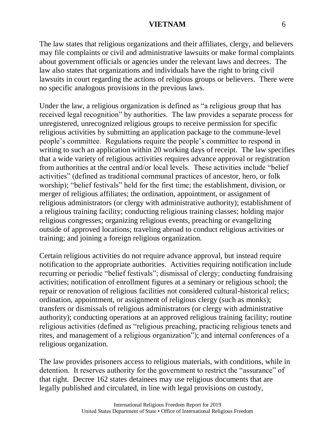The law states that religious organizations and their affiliates, clergy, and believers may file complaints or civil and administrative lawsuits or make formal complaints about government officials or agencies under the relevant laws and decrees. The law also states that organizations and individuals have the right to bring civil lawsuits in court regarding the actions of religious groups or believers. There were no specific analogous provisions in the previous laws.

Under the law, a religious organization is defined as "a religious group that has received legal recognition" by authorities. The law provides a separate process for unregistered, unrecognized religious groups to receive permission for specific religious activities by submitting an application package to the commune-level people's committee. Regulations require the people's committee to respond in writing to such an application within 20 working days of receipt. The law specifies that a wide variety of religious activities requires advance approval or registration from authorities at the central and/or local levels. These activities include "belief activities" (defined as traditional communal practices of ancestor, hero, or folk worship); "belief festivals" held for the first time; the establishment, division, or merger of religious affiliates; the ordination, appointment, or assignment of religious administrators (or clergy with administrative authority); establishment of a religious training facility; conducting religious training classes; holding major religious congresses; organizing religious events, preaching or evangelizing outside of approved locations; traveling abroad to conduct religious activities or training; and joining a foreign religious organization.

Certain religious activities do not require advance approval, but instead require notification to the appropriate authorities. Activities requiring notification include recurring or periodic "belief festivals"; dismissal of clergy; conducting fundraising activities; notification of enrollment figures at a seminary or religious school; the repair or renovation of religious facilities not considered cultural-historical relics; ordination, appointment, or assignment of religious clergy (such as monks); transfers or dismissals of religious administrators (or clergy with administrative authority); conducting operations at an approved religious training facility; routine religious activities (defined as "religious preaching, practicing religious tenets and rites, and management of a religious organization"); and internal conferences of a religious organization.

The law provides prisoners access to religious materials, with conditions, while in detention. It reserves authority for the government to restrict the "assurance" of that right. Decree 162 states detainees may use religious documents that are legally published and circulated, in line with legal provisions on custody,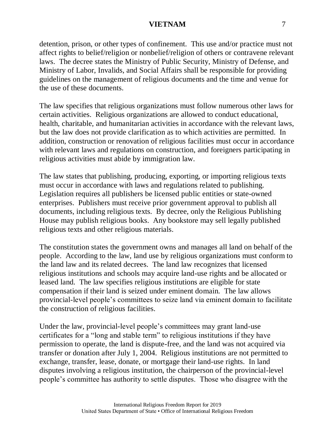detention, prison, or other types of confinement. This use and/or practice must not affect rights to belief/religion or nonbelief/religion of others or contravene relevant laws. The decree states the Ministry of Public Security, Ministry of Defense, and Ministry of Labor, Invalids, and Social Affairs shall be responsible for providing guidelines on the management of religious documents and the time and venue for the use of these documents.

The law specifies that religious organizations must follow numerous other laws for certain activities. Religious organizations are allowed to conduct educational, health, charitable, and humanitarian activities in accordance with the relevant laws, but the law does not provide clarification as to which activities are permitted. In addition, construction or renovation of religious facilities must occur in accordance with relevant laws and regulations on construction, and foreigners participating in religious activities must abide by immigration law.

The law states that publishing, producing, exporting, or importing religious texts must occur in accordance with laws and regulations related to publishing. Legislation requires all publishers be licensed public entities or state-owned enterprises. Publishers must receive prior government approval to publish all documents, including religious texts. By decree, only the Religious Publishing House may publish religious books. Any bookstore may sell legally published religious texts and other religious materials.

The constitution states the government owns and manages all land on behalf of the people. According to the law, land use by religious organizations must conform to the land law and its related decrees. The land law recognizes that licensed religious institutions and schools may acquire land-use rights and be allocated or leased land. The law specifies religious institutions are eligible for state compensation if their land is seized under eminent domain. The law allows provincial-level people's committees to seize land via eminent domain to facilitate the construction of religious facilities.

Under the law, provincial-level people's committees may grant land-use certificates for a "long and stable term" to religious institutions if they have permission to operate, the land is dispute-free, and the land was not acquired via transfer or donation after July 1, 2004. Religious institutions are not permitted to exchange, transfer, lease, donate, or mortgage their land-use rights. In land disputes involving a religious institution, the chairperson of the provincial-level people's committee has authority to settle disputes. Those who disagree with the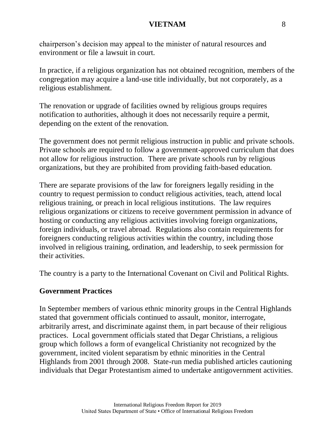chairperson's decision may appeal to the minister of natural resources and environment or file a lawsuit in court.

In practice, if a religious organization has not obtained recognition, members of the congregation may acquire a land-use title individually, but not corporately, as a religious establishment.

The renovation or upgrade of facilities owned by religious groups requires notification to authorities, although it does not necessarily require a permit, depending on the extent of the renovation.

The government does not permit religious instruction in public and private schools. Private schools are required to follow a government-approved curriculum that does not allow for religious instruction. There are private schools run by religious organizations, but they are prohibited from providing faith-based education.

There are separate provisions of the law for foreigners legally residing in the country to request permission to conduct religious activities, teach, attend local religious training, or preach in local religious institutions. The law requires religious organizations or citizens to receive government permission in advance of hosting or conducting any religious activities involving foreign organizations, foreign individuals, or travel abroad. Regulations also contain requirements for foreigners conducting religious activities within the country, including those involved in religious training, ordination, and leadership, to seek permission for their activities.

The country is a party to the International Covenant on Civil and Political Rights.

#### **Government Practices**

In September members of various ethnic minority groups in the Central Highlands stated that government officials continued to assault, monitor, interrogate, arbitrarily arrest, and discriminate against them, in part because of their religious practices. Local government officials stated that Degar Christians, a religious group which follows a form of evangelical Christianity not recognized by the government, incited violent separatism by ethnic minorities in the Central Highlands from 2001 through 2008. State-run media published articles cautioning individuals that Degar Protestantism aimed to undertake antigovernment activities.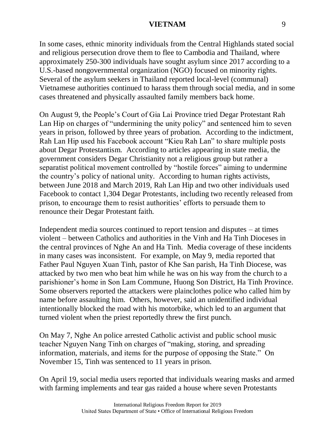In some cases, ethnic minority individuals from the Central Highlands stated social and religious persecution drove them to flee to Cambodia and Thailand, where approximately 250-300 individuals have sought asylum since 2017 according to a U.S.-based nongovernmental organization (NGO) focused on minority rights. Several of the asylum seekers in Thailand reported local-level (communal) Vietnamese authorities continued to harass them through social media, and in some cases threatened and physically assaulted family members back home.

On August 9, the People's Court of Gia Lai Province tried Degar Protestant Rah Lan Hip on charges of "undermining the unity policy" and sentenced him to seven years in prison, followed by three years of probation. According to the indictment, Rah Lan Hip used his Facebook account "Kieu Rah Lan" to share multiple posts about Degar Protestantism. According to articles appearing in state media, the government considers Degar Christianity not a religious group but rather a separatist political movement controlled by "hostile forces" aiming to undermine the country's policy of national unity. According to human rights activists, between June 2018 and March 2019, Rah Lan Hip and two other individuals used Facebook to contact 1,304 Degar Protestants, including two recently released from prison, to encourage them to resist authorities' efforts to persuade them to renounce their Degar Protestant faith.

Independent media sources continued to report tension and disputes – at times violent – between Catholics and authorities in the Vinh and Ha Tinh Dioceses in the central provinces of Nghe An and Ha Tinh. Media coverage of these incidents in many cases was inconsistent. For example, on May 9, media reported that Father Paul Nguyen Xuan Tinh, pastor of Khe San parish, Ha Tinh Diocese, was attacked by two men who beat him while he was on his way from the church to a parishioner's home in Son Lam Commune, Huong Son District, Ha Tinh Province. Some observers reported the attackers were plainclothes police who called him by name before assaulting him. Others, however, said an unidentified individual intentionally blocked the road with his motorbike, which led to an argument that turned violent when the priest reportedly threw the first punch.

On May 7, Nghe An police arrested Catholic activist and public school music teacher Nguyen Nang Tinh on charges of "making, storing, and spreading information, materials, and items for the purpose of opposing the State." On November 15, Tinh was sentenced to 11 years in prison.

On April 19, social media users reported that individuals wearing masks and armed with farming implements and tear gas raided a house where seven Protestants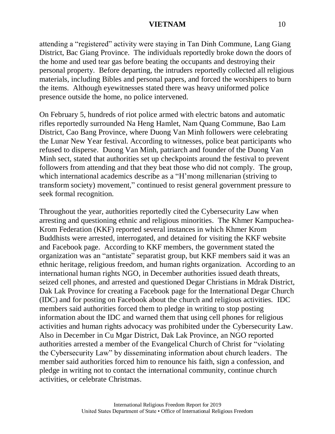attending a "registered" activity were staying in Tan Dinh Commune, Lang Giang District, Bac Giang Province. The individuals reportedly broke down the doors of the home and used tear gas before beating the occupants and destroying their personal property. Before departing, the intruders reportedly collected all religious materials, including Bibles and personal papers, and forced the worshipers to burn the items. Although eyewitnesses stated there was heavy uniformed police presence outside the home, no police intervened.

On February 5, hundreds of riot police armed with electric batons and automatic rifles reportedly surrounded Na Heng Hamlet, Nam Quang Commune, Bao Lam District, Cao Bang Province, where Duong Van Minh followers were celebrating the Lunar New Year festival. According to witnesses, police beat participants who refused to disperse. Duong Van Minh, patriarch and founder of the Duong Van Minh sect, stated that authorities set up checkpoints around the festival to prevent followers from attending and that they beat those who did not comply. The group, which international academics describe as a "H'mong millenarian (striving to transform society) movement," continued to resist general government pressure to seek formal recognition.

Throughout the year, authorities reportedly cited the Cybersecurity Law when arresting and questioning ethnic and religious minorities. The Khmer Kampuchea-Krom Federation (KKF) reported several instances in which Khmer Krom Buddhists were arrested, interrogated, and detained for visiting the KKF website and Facebook page. According to KKF members, the government stated the organization was an "antistate" separatist group, but KKF members said it was an ethnic heritage, religious freedom, and human rights organization. According to an international human rights NGO, in December authorities issued death threats, seized cell phones, and arrested and questioned Degar Christians in Mdrak District, Dak Lak Province for creating a Facebook page for the International Degar Church (IDC) and for posting on Facebook about the church and religious activities. IDC members said authorities forced them to pledge in writing to stop posting information about the IDC and warned them that using cell phones for religious activities and human rights advocacy was prohibited under the Cybersecurity Law. Also in December in Cu Mgar District, Dak Lak Province, an NGO reported authorities arrested a member of the Evangelical Church of Christ for "violating the Cybersecurity Law" by disseminating information about church leaders. The member said authorities forced him to renounce his faith, sign a confession, and pledge in writing not to contact the international community, continue church activities, or celebrate Christmas.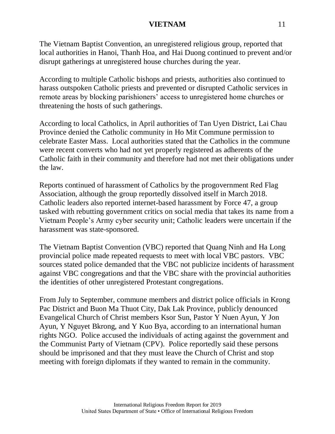The Vietnam Baptist Convention, an unregistered religious group, reported that local authorities in Hanoi, Thanh Hoa, and Hai Duong continued to prevent and/or disrupt gatherings at unregistered house churches during the year.

According to multiple Catholic bishops and priests, authorities also continued to harass outspoken Catholic priests and prevented or disrupted Catholic services in remote areas by blocking parishioners' access to unregistered home churches or threatening the hosts of such gatherings.

According to local Catholics, in April authorities of Tan Uyen District, Lai Chau Province denied the Catholic community in Ho Mit Commune permission to celebrate Easter Mass. Local authorities stated that the Catholics in the commune were recent converts who had not yet properly registered as adherents of the Catholic faith in their community and therefore had not met their obligations under the law.

Reports continued of harassment of Catholics by the progovernment Red Flag Association, although the group reportedly dissolved itself in March 2018. Catholic leaders also reported internet-based harassment by Force 47, a group tasked with rebutting government critics on social media that takes its name from a Vietnam People's Army cyber security unit; Catholic leaders were uncertain if the harassment was state-sponsored.

The Vietnam Baptist Convention (VBC) reported that Quang Ninh and Ha Long provincial police made repeated requests to meet with local VBC pastors. VBC sources stated police demanded that the VBC not publicize incidents of harassment against VBC congregations and that the VBC share with the provincial authorities the identities of other unregistered Protestant congregations.

From July to September, commune members and district police officials in Krong Pac District and Buon Ma Thuot City, Dak Lak Province, publicly denounced Evangelical Church of Christ members Ksor Sun, Pastor Y Nuen Ayun, Y Jon Ayun, Y Nguyet Bkrong, and Y Kuo Bya, according to an international human rights NGO. Police accused the individuals of acting against the government and the Communist Party of Vietnam (CPV). Police reportedly said these persons should be imprisoned and that they must leave the Church of Christ and stop meeting with foreign diplomats if they wanted to remain in the community.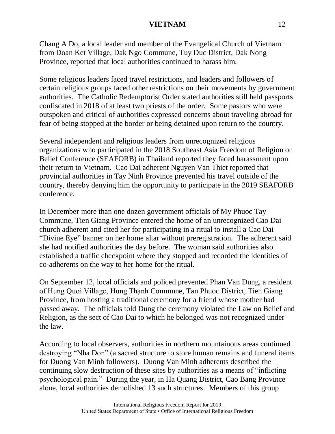Chang A Do, a local leader and member of the Evangelical Church of Vietnam from Doan Ket Village, Dak Ngo Commune, Tuy Duc District, Dak Nong Province, reported that local authorities continued to harass him.

Some religious leaders faced travel restrictions, and leaders and followers of certain religious groups faced other restrictions on their movements by government authorities. The Catholic Redemptorist Order stated authorities still held passports confiscated in 2018 of at least two priests of the order. Some pastors who were outspoken and critical of authorities expressed concerns about traveling abroad for fear of being stopped at the border or being detained upon return to the country.

Several independent and religious leaders from unrecognized religious organizations who participated in the 2018 Southeast Asia Freedom of Religion or Belief Conference (SEAFORB) in Thailand reported they faced harassment upon their return to Vietnam. Cao Dai adherent Nguyen Van Thiet reported that provincial authorities in Tay Ninh Province prevented his travel outside of the country, thereby denying him the opportunity to participate in the 2019 SEAFORB conference.

In December more than one dozen government officials of My Phuoc Tay Commune, Tien Giang Province entered the home of an unrecognized Cao Dai church adherent and cited her for participating in a ritual to install a Cao Dai "Divine Eye" banner on her home altar without preregistration. The adherent said she had notified authorities the day before. The woman said authorities also established a traffic checkpoint where they stopped and recorded the identities of co-adherents on the way to her home for the ritual.

On September 12, local officials and policed prevented Phan Van Dung, a resident of Hung Quoi Village, Hung Thạnh Commune, Tan Phuoc District, Tien Giang Province, from hosting a traditional ceremony for a friend whose mother had passed away. The officials told Dung the ceremony violated the Law on Belief and Religion, as the sect of Cao Dai to which he belonged was not recognized under the law.

According to local observers, authorities in northern mountainous areas continued destroying "Nha Don" (a sacred structure to store human remains and funeral items for Duong Van Minh followers). Duong Van Minh adherents described the continuing slow destruction of these sites by authorities as a means of "inflicting psychological pain." During the year, in Ha Quang District, Cao Bang Province alone, local authorities demolished 13 such structures. Members of this group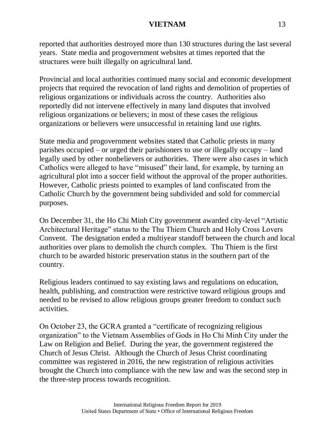reported that authorities destroyed more than 130 structures during the last several years. State media and progovernment websites at times reported that the structures were built illegally on agricultural land.

Provincial and local authorities continued many social and economic development projects that required the revocation of land rights and demolition of properties of religious organizations or individuals across the country. Authorities also reportedly did not intervene effectively in many land disputes that involved religious organizations or believers; in most of these cases the religious organizations or believers were unsuccessful in retaining land use rights.

State media and progovernment websites stated that Catholic priests in many parishes occupied – or urged their parishioners to use or illegally occupy – land legally used by other nonbelievers or authorities. There were also cases in which Catholics were alleged to have "misused" their land, for example, by turning an agricultural plot into a soccer field without the approval of the proper authorities. However, Catholic priests pointed to examples of land confiscated from the Catholic Church by the government being subdivided and sold for commercial purposes.

On December 31, the Ho Chi Minh City government awarded city-level "Artistic Architectural Heritage" status to the Thu Thiem Church and Holy Cross Lovers Convent. The designation ended a multiyear standoff between the church and local authorities over plans to demolish the church complex. Thu Thiem is the first church to be awarded historic preservation status in the southern part of the country.

Religious leaders continued to say existing laws and regulations on education, health, publishing, and construction were restrictive toward religious groups and needed to be revised to allow religious groups greater freedom to conduct such activities.

On October 23, the GCRA granted a "certificate of recognizing religious organization" to the Vietnam Assemblies of Gods in Ho Chi Minh City under the Law on Religion and Belief. During the year, the government registered the Church of Jesus Christ. Although the Church of Jesus Christ coordinating committee was registered in 2016, the new registration of religious activities brought the Church into compliance with the new law and was the second step in the three-step process towards recognition.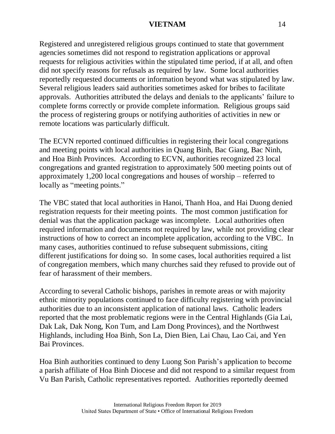Registered and unregistered religious groups continued to state that government agencies sometimes did not respond to registration applications or approval requests for religious activities within the stipulated time period, if at all, and often did not specify reasons for refusals as required by law. Some local authorities reportedly requested documents or information beyond what was stipulated by law. Several religious leaders said authorities sometimes asked for bribes to facilitate approvals. Authorities attributed the delays and denials to the applicants' failure to complete forms correctly or provide complete information. Religious groups said the process of registering groups or notifying authorities of activities in new or remote locations was particularly difficult.

The ECVN reported continued difficulties in registering their local congregations and meeting points with local authorities in Quang Binh, Bac Giang, Bac Ninh, and Hoa Binh Provinces. According to ECVN, authorities recognized 23 local congregations and granted registration to approximately 500 meeting points out of approximately 1,200 local congregations and houses of worship – referred to locally as "meeting points."

The VBC stated that local authorities in Hanoi, Thanh Hoa, and Hai Duong denied registration requests for their meeting points. The most common justification for denial was that the application package was incomplete. Local authorities often required information and documents not required by law, while not providing clear instructions of how to correct an incomplete application, according to the VBC. In many cases, authorities continued to refuse subsequent submissions, citing different justifications for doing so. In some cases, local authorities required a list of congregation members, which many churches said they refused to provide out of fear of harassment of their members.

According to several Catholic bishops, parishes in remote areas or with majority ethnic minority populations continued to face difficulty registering with provincial authorities due to an inconsistent application of national laws. Catholic leaders reported that the most problematic regions were in the Central Highlands (Gia Lai, Dak Lak, Dak Nong, Kon Tum, and Lam Dong Provinces), and the Northwest Highlands, including Hoa Binh, Son La, Dien Bien, Lai Chau, Lao Cai, and Yen Bai Provinces.

Hoa Binh authorities continued to deny Luong Son Parish's application to become a parish affiliate of Hoa Binh Diocese and did not respond to a similar request from Vu Ban Parish, Catholic representatives reported. Authorities reportedly deemed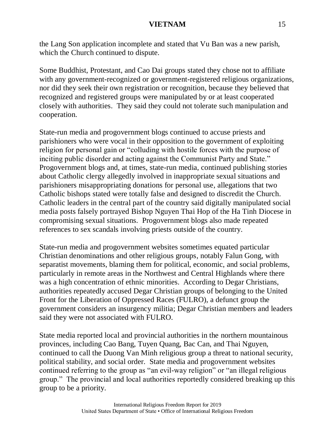the Lang Son application incomplete and stated that Vu Ban was a new parish, which the Church continued to dispute.

Some Buddhist, Protestant, and Cao Dai groups stated they chose not to affiliate with any government-recognized or government-registered religious organizations, nor did they seek their own registration or recognition, because they believed that recognized and registered groups were manipulated by or at least cooperated closely with authorities. They said they could not tolerate such manipulation and cooperation.

State-run media and progovernment blogs continued to accuse priests and parishioners who were vocal in their opposition to the government of exploiting religion for personal gain or "colluding with hostile forces with the purpose of inciting public disorder and acting against the Communist Party and State." Progovernment blogs and, at times, state-run media, continued publishing stories about Catholic clergy allegedly involved in inappropriate sexual situations and parishioners misappropriating donations for personal use, allegations that two Catholic bishops stated were totally false and designed to discredit the Church. Catholic leaders in the central part of the country said digitally manipulated social media posts falsely portrayed Bishop Nguyen Thai Hop of the Ha Tinh Diocese in compromising sexual situations. Progovernment blogs also made repeated references to sex scandals involving priests outside of the country.

State-run media and progovernment websites sometimes equated particular Christian denominations and other religious groups, notably Falun Gong, with separatist movements, blaming them for political, economic, and social problems, particularly in remote areas in the Northwest and Central Highlands where there was a high concentration of ethnic minorities. According to Degar Christians, authorities repeatedly accused Degar Christian groups of belonging to the United Front for the Liberation of Oppressed Races (FULRO), a defunct group the government considers an insurgency militia; Degar Christian members and leaders said they were not associated with FULRO.

State media reported local and provincial authorities in the northern mountainous provinces, including Cao Bang, Tuyen Quang, Bac Can, and Thai Nguyen, continued to call the Duong Van Minh religious group a threat to national security, political stability, and social order. State media and progovernment websites continued referring to the group as "an evil-way religion" or "an illegal religious group." The provincial and local authorities reportedly considered breaking up this group to be a priority.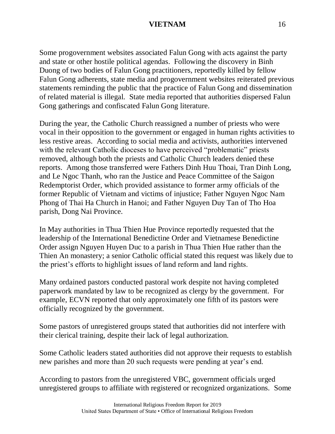Some progovernment websites associated Falun Gong with acts against the party and state or other hostile political agendas. Following the discovery in Binh Duong of two bodies of Falun Gong practitioners, reportedly killed by fellow Falun Gong adherents, state media and progovernment websites reiterated previous statements reminding the public that the practice of Falun Gong and dissemination of related material is illegal. State media reported that authorities dispersed Falun Gong gatherings and confiscated Falun Gong literature.

During the year, the Catholic Church reassigned a number of priests who were vocal in their opposition to the government or engaged in human rights activities to less restive areas. According to social media and activists, authorities intervened with the relevant Catholic dioceses to have perceived "problematic" priests removed, although both the priests and Catholic Church leaders denied these reports. Among those transferred were Fathers Dinh Huu Thoai, Tran Dinh Long, and Le Ngoc Thanh, who ran the Justice and Peace Committee of the Saigon Redemptorist Order, which provided assistance to former army officials of the former Republic of Vietnam and victims of injustice; Father Nguyen Ngoc Nam Phong of Thai Ha Church in Hanoi; and Father Nguyen Duy Tan of Tho Hoa parish, Dong Nai Province.

In May authorities in Thua Thien Hue Province reportedly requested that the leadership of the International Benedictine Order and Vietnamese Benedictine Order assign Nguyen Huyen Duc to a parish in Thua Thien Hue rather than the Thien An monastery; a senior Catholic official stated this request was likely due to the priest's efforts to highlight issues of land reform and land rights.

Many ordained pastors conducted pastoral work despite not having completed paperwork mandated by law to be recognized as clergy by the government. For example, ECVN reported that only approximately one fifth of its pastors were officially recognized by the government.

Some pastors of unregistered groups stated that authorities did not interfere with their clerical training, despite their lack of legal authorization.

Some Catholic leaders stated authorities did not approve their requests to establish new parishes and more than 20 such requests were pending at year's end.

According to pastors from the unregistered VBC, government officials urged unregistered groups to affiliate with registered or recognized organizations. Some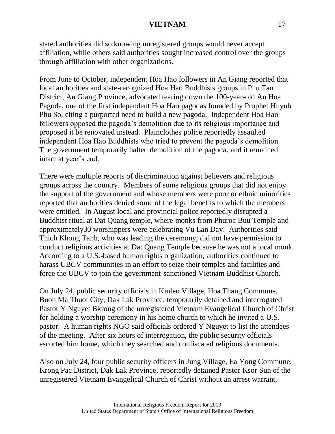stated authorities did so knowing unregistered groups would never accept affiliation, while others said authorities sought increased control over the groups through affiliation with other organizations.

From June to October, independent Hoa Hao followers in An Giang reported that local authorities and state-recognized Hoa Hao Buddhists groups in Phu Tan District, An Giang Province, advocated tearing down the 100-year-old An Hoa Pagoda, one of the first independent Hoa Hao pagodas founded by Prophet Huynh Phu So, citing a purported need to build a new pagoda. Independent Hoa Hao followers opposed the pagoda's demolition due to its religious importance and proposed it be renovated instead. Plainclothes police reportedly assaulted independent Hoa Hao Buddhists who tried to prevent the pagoda's demolition. The government temporarily halted demolition of the pagoda, and it remained intact at year's end.

There were multiple reports of discrimination against believers and religious groups across the country. Members of some religious groups that did not enjoy the support of the government and whose members were poor or ethnic minorities reported that authorities denied some of the legal benefits to which the members were entitled. In August local and provincial police reportedly disrupted a Buddhist ritual at Dat Quang temple, where monks from Phuroc Buu Temple and approximately30 worshippers were celebrating Vu Lan Day. Authorities said Thich Khong Tanh, who was leading the ceremony, did not have permission to conduct religious activities at Dat Quang Temple because he was not a local monk. According to a U.S.-based human rights organization, authorities continued to harass UBCV communities in an effort to seize their temples and facilities and force the UBCV to join the government-sanctioned Vietnam Buddhist Church.

On July 24, public security officials in Kmleo Village, Hoa Thang Commune, Buon Ma Thuot City, Dak Lak Province, temporarily detained and interrogated Pastor Y Nguyet Bkrong of the unregistered Vietnam Evangelical Church of Christ for holding a worship ceremony in his home church to which he invited a U.S. pastor. A human rights NGO said officials ordered Y Nguyet to list the attendees of the meeting. After six hours of interrogation, the public security officials escorted him home, which they searched and confiscated religious documents.

Also on July 24, four public security officers in Jung Village, Ea Yong Commune, Krong Pac District, Dak Lak Province, reportedly detained Pastor Ksor Sun of the unregistered Vietnam Evangelical Church of Christ without an arrest warrant,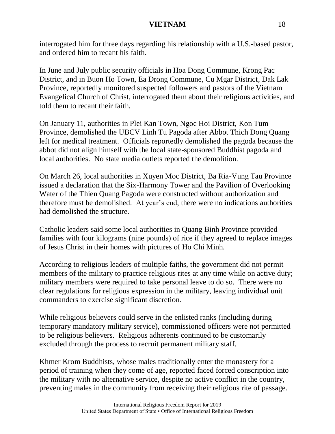interrogated him for three days regarding his relationship with a U.S.-based pastor, and ordered him to recant his faith.

In June and July public security officials in Hoa Dong Commune, Krong Pac District, and in Buon Ho Town, Ea Drong Commune, Cu Mgar District, Dak Lak Province, reportedly monitored suspected followers and pastors of the Vietnam Evangelical Church of Christ, interrogated them about their religious activities, and told them to recant their faith.

On January 11, authorities in Plei Kan Town, Ngoc Hoi District, Kon Tum Province, demolished the UBCV Linh Tu Pagoda after Abbot Thich Dong Quang left for medical treatment. Officials reportedly demolished the pagoda because the abbot did not align himself with the local state-sponsored Buddhist pagoda and local authorities. No state media outlets reported the demolition.

On March 26, local authorities in Xuyen Moc District, Ba Ria-Vung Tau Province issued a declaration that the Six-Harmony Tower and the Pavilion of Overlooking Water of the Thien Quang Pagoda were constructed without authorization and therefore must be demolished. At year's end, there were no indications authorities had demolished the structure.

Catholic leaders said some local authorities in Quang Binh Province provided families with four kilograms (nine pounds) of rice if they agreed to replace images of Jesus Christ in their homes with pictures of Ho Chi Minh.

According to religious leaders of multiple faiths, the government did not permit members of the military to practice religious rites at any time while on active duty; military members were required to take personal leave to do so. There were no clear regulations for religious expression in the military, leaving individual unit commanders to exercise significant discretion.

While religious believers could serve in the enlisted ranks (including during temporary mandatory military service), commissioned officers were not permitted to be religious believers. Religious adherents continued to be customarily excluded through the process to recruit permanent military staff.

Khmer Krom Buddhists, whose males traditionally enter the monastery for a period of training when they come of age, reported faced forced conscription into the military with no alternative service, despite no active conflict in the country, preventing males in the community from receiving their religious rite of passage.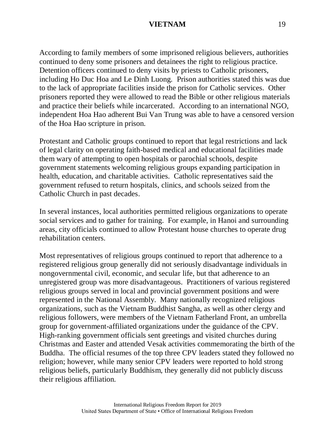According to family members of some imprisoned religious believers, authorities continued to deny some prisoners and detainees the right to religious practice. Detention officers continued to deny visits by priests to Catholic prisoners, including Ho Duc Hoa and Le Dinh Luong. Prison authorities stated this was due to the lack of appropriate facilities inside the prison for Catholic services. Other prisoners reported they were allowed to read the Bible or other religious materials and practice their beliefs while incarcerated. According to an international NGO, independent Hoa Hao adherent Bui Van Trung was able to have a censored version of the Hoa Hao scripture in prison.

Protestant and Catholic groups continued to report that legal restrictions and lack of legal clarity on operating faith-based medical and educational facilities made them wary of attempting to open hospitals or parochial schools, despite government statements welcoming religious groups expanding participation in health, education, and charitable activities. Catholic representatives said the government refused to return hospitals, clinics, and schools seized from the Catholic Church in past decades.

In several instances, local authorities permitted religious organizations to operate social services and to gather for training. For example, in Hanoi and surrounding areas, city officials continued to allow Protestant house churches to operate drug rehabilitation centers.

Most representatives of religious groups continued to report that adherence to a registered religious group generally did not seriously disadvantage individuals in nongovernmental civil, economic, and secular life, but that adherence to an unregistered group was more disadvantageous. Practitioners of various registered religious groups served in local and provincial government positions and were represented in the National Assembly. Many nationally recognized religious organizations, such as the Vietnam Buddhist Sangha, as well as other clergy and religious followers, were members of the Vietnam Fatherland Front, an umbrella group for government-affiliated organizations under the guidance of the CPV. High-ranking government officials sent greetings and visited churches during Christmas and Easter and attended Vesak activities commemorating the birth of the Buddha. The official resumes of the top three CPV leaders stated they followed no religion; however, while many senior CPV leaders were reported to hold strong religious beliefs, particularly Buddhism, they generally did not publicly discuss their religious affiliation.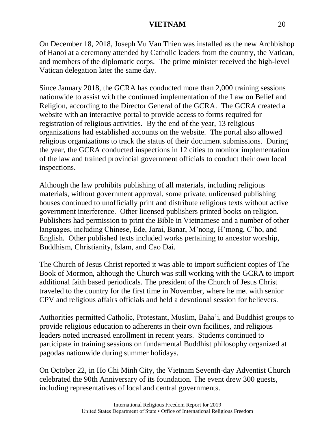On December 18, 2018, Joseph Vu Van Thien was installed as the new Archbishop of Hanoi at a ceremony attended by Catholic leaders from the country, the Vatican, and members of the diplomatic corps. The prime minister received the high-level Vatican delegation later the same day.

Since January 2018, the GCRA has conducted more than 2,000 training sessions nationwide to assist with the continued implementation of the Law on Belief and Religion, according to the Director General of the GCRA. The GCRA created a website with an interactive portal to provide access to forms required for registration of religious activities. By the end of the year, 13 religious organizations had established accounts on the website. The portal also allowed religious organizations to track the status of their document submissions. During the year, the GCRA conducted inspections in 12 cities to monitor implementation of the law and trained provincial government officials to conduct their own local inspections.

Although the law prohibits publishing of all materials, including religious materials, without government approval, some private, unlicensed publishing houses continued to unofficially print and distribute religious texts without active government interference. Other licensed publishers printed books on religion. Publishers had permission to print the Bible in Vietnamese and a number of other languages, including Chinese, Ede, Jarai, Banar, M'nong, H'mong, C'ho, and English. Other published texts included works pertaining to ancestor worship, Buddhism, Christianity, Islam, and Cao Dai.

The Church of Jesus Christ reported it was able to import sufficient copies of The Book of Mormon, although the Church was still working with the GCRA to import additional faith based periodicals. The president of the Church of Jesus Christ traveled to the country for the first time in November, where he met with senior CPV and religious affairs officials and held a devotional session for believers.

Authorities permitted Catholic, Protestant, Muslim, Baha'i, and Buddhist groups to provide religious education to adherents in their own facilities, and religious leaders noted increased enrollment in recent years. Students continued to participate in training sessions on fundamental Buddhist philosophy organized at pagodas nationwide during summer holidays.

On October 22, in Ho Chi Minh City, the Vietnam Seventh-day Adventist Church celebrated the 90th Anniversary of its foundation. The event drew 300 guests, including representatives of local and central governments.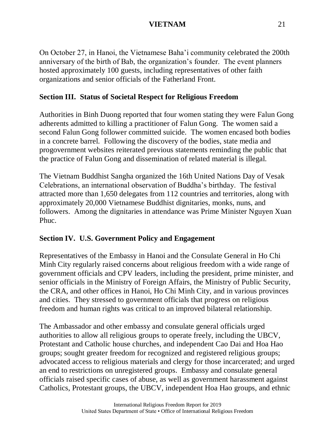On October 27, in Hanoi, the Vietnamese Baha'i community celebrated the 200th anniversary of the birth of Bab, the organization's founder. The event planners hosted approximately 100 guests, including representatives of other faith organizations and senior officials of the Fatherland Front.

# **Section III. Status of Societal Respect for Religious Freedom**

Authorities in Binh Duong reported that four women stating they were Falun Gong adherents admitted to killing a practitioner of Falun Gong. The women said a second Falun Gong follower committed suicide. The women encased both bodies in a concrete barrel. Following the discovery of the bodies, state media and progovernment websites reiterated previous statements reminding the public that the practice of Falun Gong and dissemination of related material is illegal.

The Vietnam Buddhist Sangha organized the 16th United Nations Day of Vesak Celebrations, an international observation of Buddha's birthday. The festival attracted more than 1,650 delegates from 112 countries and territories, along with approximately 20,000 Vietnamese Buddhist dignitaries, monks, nuns, and followers. Among the dignitaries in attendance was Prime Minister Nguyen Xuan Phuc.

# **Section IV. U.S. Government Policy and Engagement**

Representatives of the Embassy in Hanoi and the Consulate General in Ho Chi Minh City regularly raised concerns about religious freedom with a wide range of government officials and CPV leaders, including the president, prime minister, and senior officials in the Ministry of Foreign Affairs, the Ministry of Public Security, the CRA, and other offices in Hanoi, Ho Chi Minh City, and in various provinces and cities. They stressed to government officials that progress on religious freedom and human rights was critical to an improved bilateral relationship.

The Ambassador and other embassy and consulate general officials urged authorities to allow all religious groups to operate freely, including the UBCV, Protestant and Catholic house churches, and independent Cao Dai and Hoa Hao groups; sought greater freedom for recognized and registered religious groups; advocated access to religious materials and clergy for those incarcerated; and urged an end to restrictions on unregistered groups. Embassy and consulate general officials raised specific cases of abuse, as well as government harassment against Catholics, Protestant groups, the UBCV, independent Hoa Hao groups, and ethnic